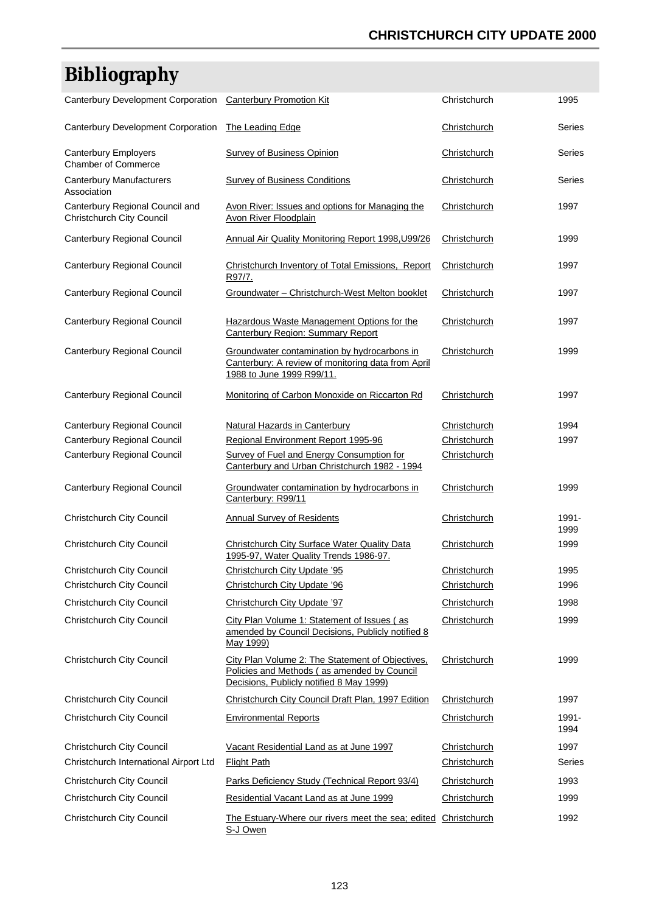## **CHRISTCHURCH CITY UPDATE 2000**

## **Bibliography**

| <b>Canterbury Development Corporation</b>                           | <b>Canterbury Promotion Kit</b>                                                                                                             | Christchurch | 1995          |
|---------------------------------------------------------------------|---------------------------------------------------------------------------------------------------------------------------------------------|--------------|---------------|
| Canterbury Development Corporation                                  | The Leading Edge                                                                                                                            | Christchurch | Series        |
| Canterbury Employers<br><b>Chamber of Commerce</b>                  | <b>Survey of Business Opinion</b>                                                                                                           | Christchurch | Series        |
| <b>Canterbury Manufacturers</b><br>Association                      | <b>Survey of Business Conditions</b>                                                                                                        | Christchurch | Series        |
| Canterbury Regional Council and<br><b>Christchurch City Council</b> | Avon River: Issues and options for Managing the<br>Avon River Floodplain                                                                    | Christchurch | 1997          |
| Canterbury Regional Council                                         | Annual Air Quality Monitoring Report 1998, U99/26                                                                                           | Christchurch | 1999          |
| Canterbury Regional Council                                         | Christchurch Inventory of Total Emissions, Report<br>R97/7.                                                                                 | Christchurch | 1997          |
| Canterbury Regional Council                                         | Groundwater - Christchurch-West Melton booklet                                                                                              | Christchurch | 1997          |
| Canterbury Regional Council                                         | Hazardous Waste Management Options for the<br>Canterbury Region: Summary Report                                                             | Christchurch | 1997          |
| Canterbury Regional Council                                         | Groundwater contamination by hydrocarbons in<br>Canterbury: A review of monitoring data from April<br>1988 to June 1999 R99/11.             | Christchurch | 1999          |
| Canterbury Regional Council                                         | Monitoring of Carbon Monoxide on Riccarton Rd                                                                                               | Christchurch | 1997          |
| Canterbury Regional Council                                         | Natural Hazards in Canterbury                                                                                                               | Christchurch | 1994          |
| Canterbury Regional Council                                         | Regional Environment Report 1995-96                                                                                                         | Christchurch | 1997          |
| Canterbury Regional Council                                         | Survey of Fuel and Energy Consumption for<br>Canterbury and Urban Christchurch 1982 - 1994                                                  | Christchurch |               |
| Canterbury Regional Council                                         | Groundwater contamination by hydrocarbons in<br>Canterbury: R99/11                                                                          | Christchurch | 1999          |
| Christchurch City Council                                           | <b>Annual Survey of Residents</b>                                                                                                           | Christchurch | 1991-<br>1999 |
| Christchurch City Council                                           | <b>Christchurch City Surface Water Quality Data</b><br>1995-97, Water Quality Trends 1986-97.                                               | Christchurch | 1999          |
| Christchurch City Council                                           | Christchurch City Update '95                                                                                                                | Christchurch | 1995          |
| <b>Christchurch City Council</b>                                    | Christchurch City Update '96                                                                                                                | Christchurch | 1996          |
| Christchurch City Council                                           | Christchurch City Update '97                                                                                                                | Christchurch | 1998          |
| Christchurch City Council                                           | City Plan Volume 1: Statement of Issues (as<br>amended by Council Decisions, Publicly notified 8<br>May 1999)                               | Christchurch | 1999          |
| Christchurch City Council                                           | City Plan Volume 2: The Statement of Objectives,<br>Policies and Methods (as amended by Council<br>Decisions, Publicly notified 8 May 1999) | Christchurch | 1999          |
| <b>Christchurch City Council</b>                                    | Christchurch City Council Draft Plan, 1997 Edition                                                                                          | Christchurch | 1997          |
| Christchurch City Council                                           | <b>Environmental Reports</b>                                                                                                                | Christchurch | 1991-<br>1994 |
| Christchurch City Council                                           | Vacant Residential Land as at June 1997                                                                                                     | Christchurch | 1997          |
| Christchurch International Airport Ltd                              | <b>Flight Path</b>                                                                                                                          | Christchurch | Series        |
| Christchurch City Council                                           | Parks Deficiency Study (Technical Report 93/4)                                                                                              | Christchurch | 1993          |
| Christchurch City Council                                           | Residential Vacant Land as at June 1999                                                                                                     | Christchurch | 1999          |
|                                                                     |                                                                                                                                             |              |               |
| Christchurch City Council                                           | The Estuary-Where our rivers meet the sea; edited<br>S-J Owen                                                                               | Christchurch | 1992          |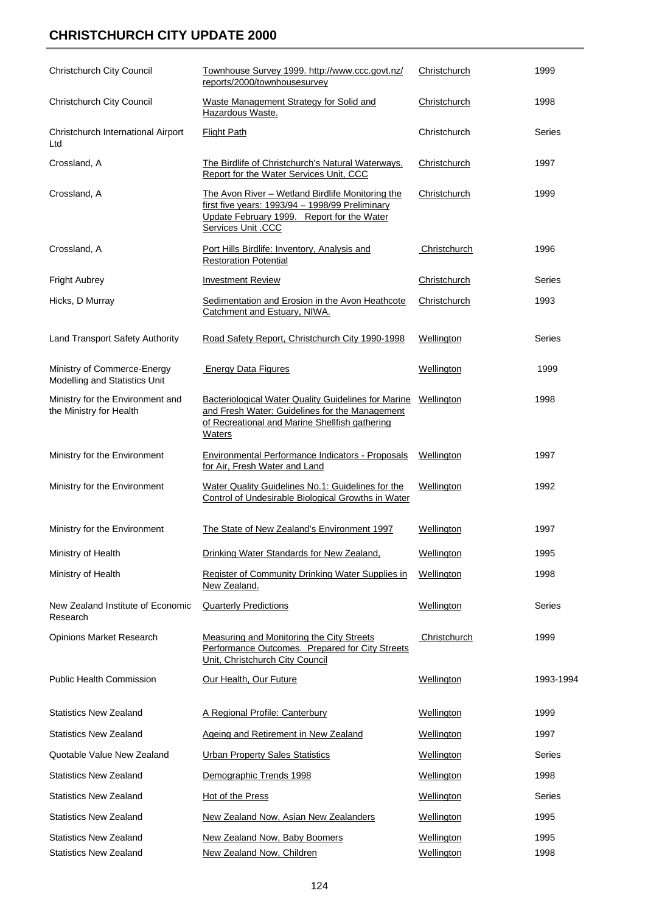## **CHRISTCHURCH CITY UPDATE 2000**

| Christchurch City Council                                      | Townhouse Survey 1999. http://www.ccc.govt.nz/<br>reports/2000/townhousesurvey                                                                                                             | Christchurch             | 1999          |
|----------------------------------------------------------------|--------------------------------------------------------------------------------------------------------------------------------------------------------------------------------------------|--------------------------|---------------|
| Christchurch City Council                                      | Waste Management Strategy for Solid and<br>Hazardous Waste.                                                                                                                                | Christchurch             | 1998          |
| Christchurch International Airport<br>Ltd                      | <b>Flight Path</b>                                                                                                                                                                         | Christchurch             | Series        |
| Crossland, A                                                   | The Birdlife of Christchurch's Natural Waterways.<br>Report for the Water Services Unit, CCC                                                                                               | Christchurch             | 1997          |
| Crossland, A                                                   | The Avon River - Wetland Birdlife Monitoring the<br>first five years: 1993/94 - 1998/99 Preliminary<br>Update February 1999. Report for the Water<br><b>Services Unit .CCC</b>             | Christchurch             | 1999          |
| Crossland, A                                                   | Port Hills Birdlife: Inventory, Analysis and<br><b>Restoration Potential</b>                                                                                                               | Christchurch             | 1996          |
| <b>Fright Aubrey</b>                                           | <b>Investment Review</b>                                                                                                                                                                   | Christchurch             | Series        |
| Hicks, D Murray                                                | Sedimentation and Erosion in the Avon Heathcote<br>Catchment and Estuary, NIWA.                                                                                                            | Christchurch             | 1993          |
| Land Transport Safety Authority                                | Road Safety Report, Christchurch City 1990-1998                                                                                                                                            | Wellington               | Series        |
| Ministry of Commerce-Energy<br>Modelling and Statistics Unit   | <b>Energy Data Figures</b>                                                                                                                                                                 | Wellington               | 1999          |
| Ministry for the Environment and<br>the Ministry for Health    | <b>Bacteriological Water Quality Guidelines for Marine Wellington</b><br>and Fresh Water: Guidelines for the Management<br>of Recreational and Marine Shellfish gathering<br><b>Waters</b> |                          | 1998          |
| Ministry for the Environment                                   | <b>Environmental Performance Indicators - Proposals</b><br>for Air, Fresh Water and Land                                                                                                   | Wellington               | 1997          |
| Ministry for the Environment                                   | Water Quality Guidelines No.1: Guidelines for the<br>Control of Undesirable Biological Growths in Water                                                                                    | Wellington               | 1992          |
| Ministry for the Environment                                   | The State of New Zealand's Environment 1997                                                                                                                                                | Wellington               | 1997          |
| Ministry of Health                                             | Drinking Water Standards for New Zealand,                                                                                                                                                  | Wellington               | 1995          |
| Ministry of Health                                             | <b>Register of Community Drinking Water Supplies in</b><br>New Zealand.                                                                                                                    | Wellington               | 1998          |
| New Zealand Institute of Economic<br>Research                  | <b>Quarterly Predictions</b>                                                                                                                                                               | Wellington               | Series        |
| <b>Opinions Market Research</b>                                | <b>Measuring and Monitoring the City Streets</b><br>Performance Outcomes. Prepared for City Streets<br>Unit, Christchurch City Council                                                     | Christchurch             | 1999          |
| <b>Public Health Commission</b>                                | Our Health, Our Future                                                                                                                                                                     | Wellington               | 1993-1994     |
| <b>Statistics New Zealand</b>                                  | A Regional Profile: Canterbury                                                                                                                                                             | <b>Wellington</b>        | 1999          |
| <b>Statistics New Zealand</b>                                  | <b>Ageing and Retirement in New Zealand</b>                                                                                                                                                | <b>Wellington</b>        | 1997          |
| Quotable Value New Zealand                                     | <b>Urban Property Sales Statistics</b>                                                                                                                                                     | Wellington               | Series        |
| <b>Statistics New Zealand</b>                                  | Demographic Trends 1998                                                                                                                                                                    | Wellington               | 1998          |
| <b>Statistics New Zealand</b>                                  | Hot of the Press                                                                                                                                                                           | Wellington               | <b>Series</b> |
| <b>Statistics New Zealand</b>                                  | New Zealand Now, Asian New Zealanders                                                                                                                                                      | <b>Wellington</b>        | 1995          |
| <b>Statistics New Zealand</b><br><b>Statistics New Zealand</b> | New Zealand Now, Baby Boomers<br>New Zealand Now, Children                                                                                                                                 | Wellington<br>Wellington | 1995<br>1998  |